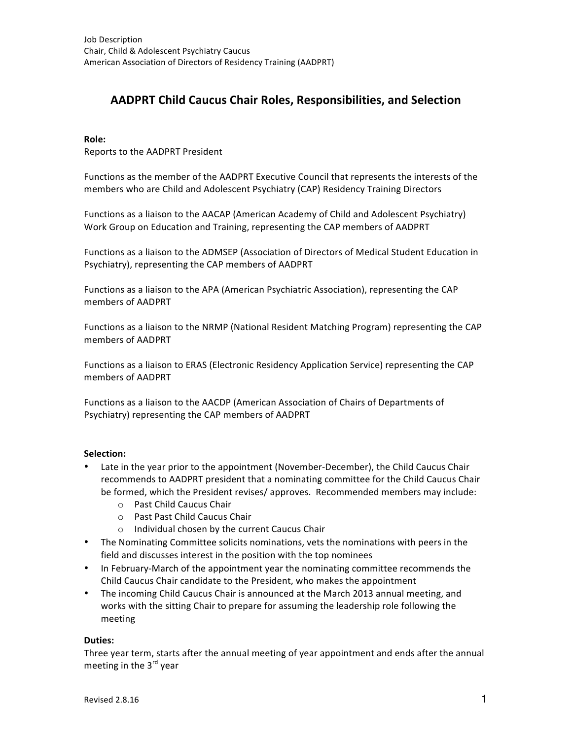# **AADPRT Child Caucus Chair Roles, Responsibilities, and Selection**

#### **Role:**

Reports to the AADPRT President

Functions as the member of the AADPRT Executive Council that represents the interests of the members who are Child and Adolescent Psychiatry (CAP) Residency Training Directors

Functions as a liaison to the AACAP (American Academy of Child and Adolescent Psychiatry) Work Group on Education and Training, representing the CAP members of AADPRT

Functions as a liaison to the ADMSEP (Association of Directors of Medical Student Education in Psychiatry), representing the CAP members of AADPRT

Functions as a liaison to the APA (American Psychiatric Association), representing the CAP members of AADPRT

Functions as a liaison to the NRMP (National Resident Matching Program) representing the CAP members of AADPRT

Functions as a liaison to ERAS (Electronic Residency Application Service) representing the CAP members of AADPRT

Functions as a liaison to the AACDP (American Association of Chairs of Departments of Psychiatry) representing the CAP members of AADPRT

# **Selection:**

- Late in the year prior to the appointment (November-December), the Child Caucus Chair recommends to AADPRT president that a nominating committee for the Child Caucus Chair be formed, which the President revises/ approves. Recommended members may include:
	- o Past Child Caucus Chair
	- o Past Past Child Caucus Chair
	- $\circ$  Individual chosen by the current Caucus Chair
- The Nominating Committee solicits nominations, vets the nominations with peers in the field and discusses interest in the position with the top nominees
- In February-March of the appointment year the nominating committee recommends the Child Caucus Chair candidate to the President, who makes the appointment
- The incoming Child Caucus Chair is announced at the March 2013 annual meeting, and works with the sitting Chair to prepare for assuming the leadership role following the meeting

#### **Duties:**

Three year term, starts after the annual meeting of year appointment and ends after the annual meeting in the  $3<sup>rd</sup>$  year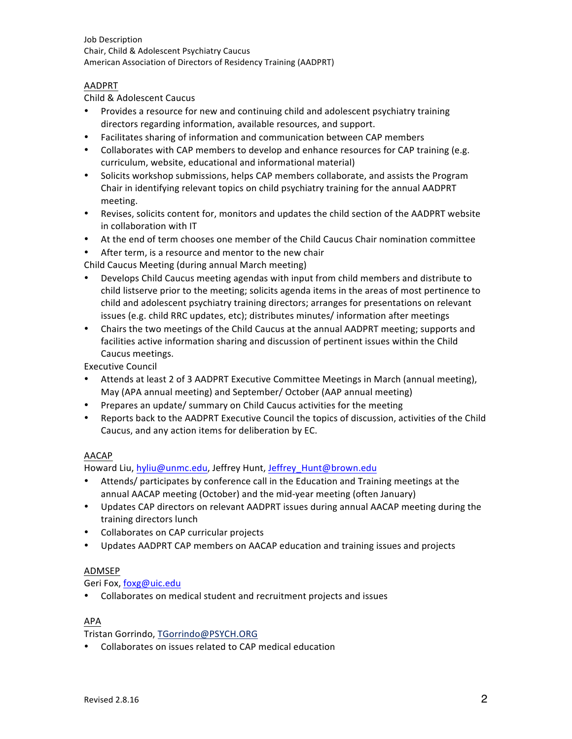Job Description Chair, Child & Adolescent Psychiatry Caucus American Association of Directors of Residency Training (AADPRT)

# AADPRT

Child & Adolescent Caucus

- Provides a resource for new and continuing child and adolescent psychiatry training directors regarding information, available resources, and support.
- Facilitates sharing of information and communication between CAP members
- Collaborates with CAP members to develop and enhance resources for CAP training (e.g. curriculum, website, educational and informational material)
- Solicits workshop submissions, helps CAP members collaborate, and assists the Program Chair in identifying relevant topics on child psychiatry training for the annual AADPRT meeting.
- Revises, solicits content for, monitors and updates the child section of the AADPRT website in collaboration with IT
- At the end of term chooses one member of the Child Caucus Chair nomination committee
- After term, is a resource and mentor to the new chair

Child Caucus Meeting (during annual March meeting)

- Develops Child Caucus meeting agendas with input from child members and distribute to child listserve prior to the meeting; solicits agenda items in the areas of most pertinence to child and adolescent psychiatry training directors; arranges for presentations on relevant issues (e.g. child RRC updates, etc); distributes minutes/ information after meetings
- Chairs the two meetings of the Child Caucus at the annual AADPRT meeting; supports and facilities active information sharing and discussion of pertinent issues within the Child Caucus meetings.

Executive Council

- Attends at least 2 of 3 AADPRT Executive Committee Meetings in March (annual meeting), May (APA annual meeting) and September/ October (AAP annual meeting)
- Prepares an update/ summary on Child Caucus activities for the meeting
- Reports back to the AADPRT Executive Council the topics of discussion, activities of the Child Caucus, and any action items for deliberation by EC.

# AACAP

Howard Liu, hyliu@unmc.edu, Jeffrey Hunt, Jeffrey Hunt@brown.edu

- Attends/ participates by conference call in the Education and Training meetings at the annual AACAP meeting (October) and the mid-year meeting (often January)
- Updates CAP directors on relevant AADPRT issues during annual AACAP meeting during the training directors lunch
- Collaborates on CAP curricular projects
- Updates AADPRT CAP members on AACAP education and training issues and projects

# ADMSEP

Geri Fox, foxg@uic.edu

• Collaborates on medical student and recruitment projects and issues

## APA

Tristan Gorrindo, TGorrindo@PSYCH.ORG

• Collaborates on issues related to CAP medical education